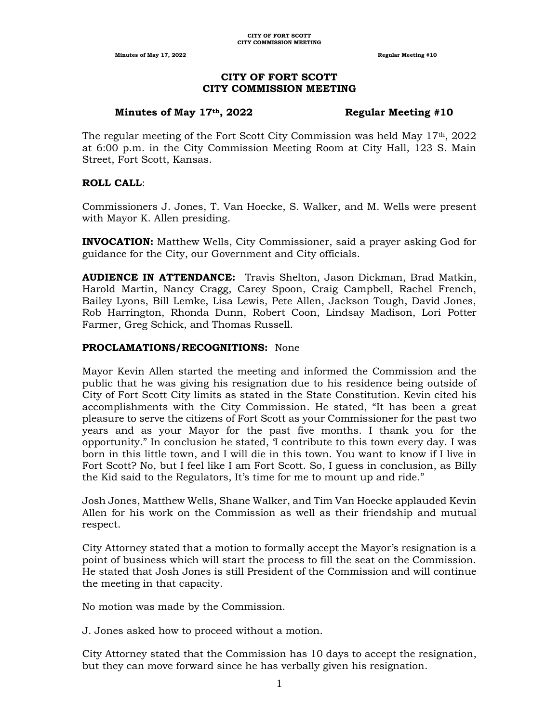# **CITY OF FORT SCOTT CITY COMMISSION MEETING**

### **Minutes of May 17th, 2022 Regular Meeting #10**

The regular meeting of the Fort Scott City Commission was held May  $17<sup>th</sup>$ , 2022 at 6:00 p.m. in the City Commission Meeting Room at City Hall, 123 S. Main Street, Fort Scott, Kansas.

## **ROLL CALL**:

Commissioners J. Jones, T. Van Hoecke, S. Walker, and M. Wells were present with Mayor K. Allen presiding.

**INVOCATION:** Matthew Wells, City Commissioner, said a prayer asking God for guidance for the City, our Government and City officials.

**AUDIENCE IN ATTENDANCE:** Travis Shelton, Jason Dickman, Brad Matkin, Harold Martin, Nancy Cragg, Carey Spoon, Craig Campbell, Rachel French, Bailey Lyons, Bill Lemke, Lisa Lewis, Pete Allen, Jackson Tough, David Jones, Rob Harrington, Rhonda Dunn, Robert Coon, Lindsay Madison, Lori Potter Farmer, Greg Schick, and Thomas Russell.

# **PROCLAMATIONS/RECOGNITIONS:** None

Mayor Kevin Allen started the meeting and informed the Commission and the public that he was giving his resignation due to his residence being outside of City of Fort Scott City limits as stated in the State Constitution. Kevin cited his accomplishments with the City Commission. He stated, "It has been a great pleasure to serve the citizens of Fort Scott as your Commissioner for the past two years and as your Mayor for the past five months. I thank you for the opportunity." In conclusion he stated, 'I contribute to this town every day. I was born in this little town, and I will die in this town. You want to know if I live in Fort Scott? No, but I feel like I am Fort Scott. So, I guess in conclusion, as Billy the Kid said to the Regulators, It's time for me to mount up and ride."

Josh Jones, Matthew Wells, Shane Walker, and Tim Van Hoecke applauded Kevin Allen for his work on the Commission as well as their friendship and mutual respect.

City Attorney stated that a motion to formally accept the Mayor's resignation is a point of business which will start the process to fill the seat on the Commission. He stated that Josh Jones is still President of the Commission and will continue the meeting in that capacity.

No motion was made by the Commission.

J. Jones asked how to proceed without a motion.

City Attorney stated that the Commission has 10 days to accept the resignation, but they can move forward since he has verbally given his resignation.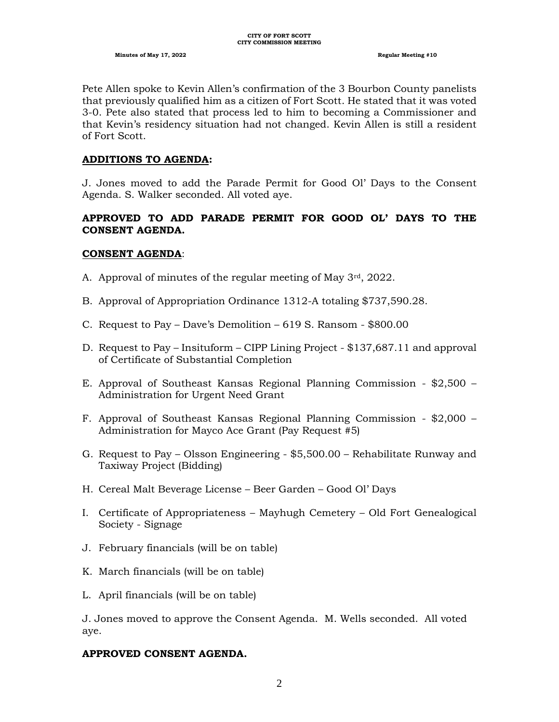Pete Allen spoke to Kevin Allen's confirmation of the 3 Bourbon County panelists that previously qualified him as a citizen of Fort Scott. He stated that it was voted 3-0. Pete also stated that process led to him to becoming a Commissioner and that Kevin's residency situation had not changed. Kevin Allen is still a resident of Fort Scott.

### **ADDITIONS TO AGENDA:**

J. Jones moved to add the Parade Permit for Good Ol' Days to the Consent Agenda. S. Walker seconded. All voted aye.

# **APPROVED TO ADD PARADE PERMIT FOR GOOD OL' DAYS TO THE CONSENT AGENDA.**

### **CONSENT AGENDA**:

- A. Approval of minutes of the regular meeting of May 3rd, 2022.
- B. Approval of Appropriation Ordinance 1312-A totaling \$737,590.28.
- C. Request to Pay Dave's Demolition 619 S. Ransom \$800.00
- D. Request to Pay Insituform CIPP Lining Project \$137,687.11 and approval of Certificate of Substantial Completion
- E. Approval of Southeast Kansas Regional Planning Commission \$2,500 Administration for Urgent Need Grant
- F. Approval of Southeast Kansas Regional Planning Commission \$2,000 Administration for Mayco Ace Grant (Pay Request #5)
- G. Request to Pay Olsson Engineering \$5,500.00 Rehabilitate Runway and Taxiway Project (Bidding)
- H. Cereal Malt Beverage License Beer Garden Good Ol' Days
- I. Certificate of Appropriateness Mayhugh Cemetery Old Fort Genealogical Society - Signage
- J. February financials (will be on table)
- K. March financials (will be on table)
- L. April financials (will be on table)

J. Jones moved to approve the Consent Agenda. M. Wells seconded. All voted aye.

#### **APPROVED CONSENT AGENDA.**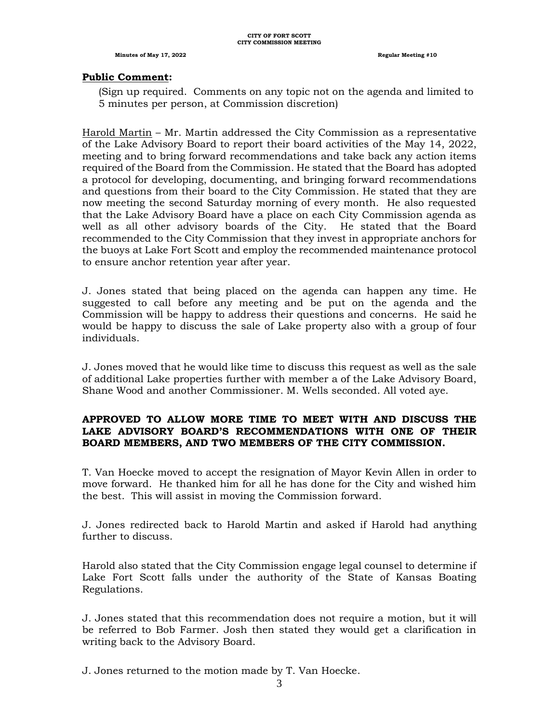### **Public Comment:**

(Sign up required. Comments on any topic not on the agenda and limited to 5 minutes per person, at Commission discretion)

Harold Martin – Mr. Martin addressed the City Commission as a representative of the Lake Advisory Board to report their board activities of the May 14, 2022, meeting and to bring forward recommendations and take back any action items required of the Board from the Commission. He stated that the Board has adopted a protocol for developing, documenting, and bringing forward recommendations and questions from their board to the City Commission. He stated that they are now meeting the second Saturday morning of every month. He also requested that the Lake Advisory Board have a place on each City Commission agenda as well as all other advisory boards of the City. He stated that the Board recommended to the City Commission that they invest in appropriate anchors for the buoys at Lake Fort Scott and employ the recommended maintenance protocol to ensure anchor retention year after year.

J. Jones stated that being placed on the agenda can happen any time. He suggested to call before any meeting and be put on the agenda and the Commission will be happy to address their questions and concerns. He said he would be happy to discuss the sale of Lake property also with a group of four individuals.

J. Jones moved that he would like time to discuss this request as well as the sale of additional Lake properties further with member a of the Lake Advisory Board, Shane Wood and another Commissioner. M. Wells seconded. All voted aye.

# **APPROVED TO ALLOW MORE TIME TO MEET WITH AND DISCUSS THE LAKE ADVISORY BOARD'S RECOMMENDATIONS WITH ONE OF THEIR BOARD MEMBERS, AND TWO MEMBERS OF THE CITY COMMISSION.**

T. Van Hoecke moved to accept the resignation of Mayor Kevin Allen in order to move forward. He thanked him for all he has done for the City and wished him the best. This will assist in moving the Commission forward.

J. Jones redirected back to Harold Martin and asked if Harold had anything further to discuss.

Harold also stated that the City Commission engage legal counsel to determine if Lake Fort Scott falls under the authority of the State of Kansas Boating Regulations.

J. Jones stated that this recommendation does not require a motion, but it will be referred to Bob Farmer. Josh then stated they would get a clarification in writing back to the Advisory Board.

J. Jones returned to the motion made by T. Van Hoecke.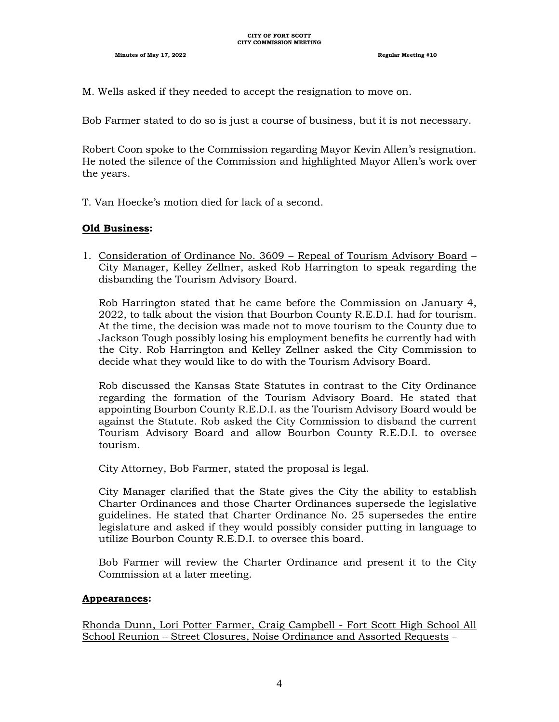M. Wells asked if they needed to accept the resignation to move on.

Bob Farmer stated to do so is just a course of business, but it is not necessary.

Robert Coon spoke to the Commission regarding Mayor Kevin Allen's resignation. He noted the silence of the Commission and highlighted Mayor Allen's work over the years.

T. Van Hoecke's motion died for lack of a second.

## **Old Business:**

1. Consideration of Ordinance No. 3609 – Repeal of Tourism Advisory Board – City Manager, Kelley Zellner, asked Rob Harrington to speak regarding the disbanding the Tourism Advisory Board.

Rob Harrington stated that he came before the Commission on January 4, 2022, to talk about the vision that Bourbon County R.E.D.I. had for tourism. At the time, the decision was made not to move tourism to the County due to Jackson Tough possibly losing his employment benefits he currently had with the City. Rob Harrington and Kelley Zellner asked the City Commission to decide what they would like to do with the Tourism Advisory Board.

Rob discussed the Kansas State Statutes in contrast to the City Ordinance regarding the formation of the Tourism Advisory Board. He stated that appointing Bourbon County R.E.D.I. as the Tourism Advisory Board would be against the Statute. Rob asked the City Commission to disband the current Tourism Advisory Board and allow Bourbon County R.E.D.I. to oversee tourism.

City Attorney, Bob Farmer, stated the proposal is legal.

City Manager clarified that the State gives the City the ability to establish Charter Ordinances and those Charter Ordinances supersede the legislative guidelines. He stated that Charter Ordinance No. 25 supersedes the entire legislature and asked if they would possibly consider putting in language to utilize Bourbon County R.E.D.I. to oversee this board.

Bob Farmer will review the Charter Ordinance and present it to the City Commission at a later meeting.

## **Appearances:**

Rhonda Dunn, Lori Potter Farmer, Craig Campbell - Fort Scott High School All School Reunion – Street Closures, Noise Ordinance and Assorted Requests –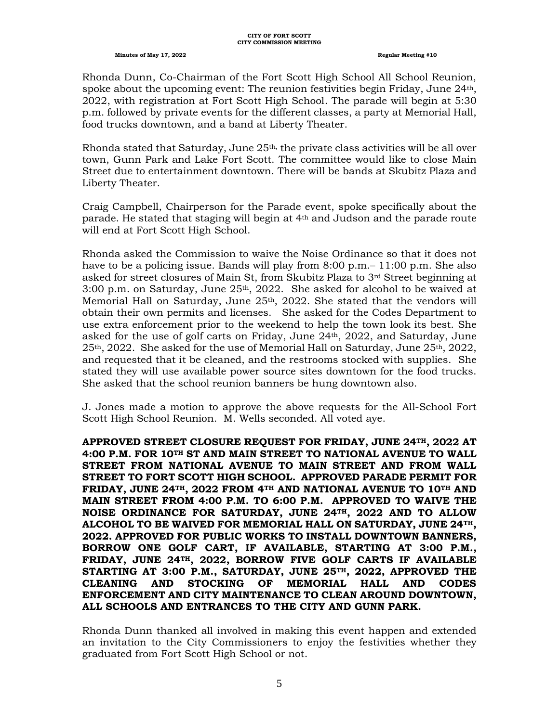#### **CITY OF FORT SCOTT CITY COMMISSION MEETING**

#### **Minutes of May 17, 2022 Regular Meeting #10**

Rhonda Dunn, Co-Chairman of the Fort Scott High School All School Reunion, spoke about the upcoming event: The reunion festivities begin Friday, June 24th, 2022, with registration at Fort Scott High School. The parade will begin at 5:30 p.m. followed by private events for the different classes, a party at Memorial Hall, food trucks downtown, and a band at Liberty Theater.

Rhonda stated that Saturday, June  $25<sup>th</sup>$ , the private class activities will be all over town, Gunn Park and Lake Fort Scott. The committee would like to close Main Street due to entertainment downtown. There will be bands at Skubitz Plaza and Liberty Theater.

Craig Campbell, Chairperson for the Parade event, spoke specifically about the parade. He stated that staging will begin at 4th and Judson and the parade route will end at Fort Scott High School.

Rhonda asked the Commission to waive the Noise Ordinance so that it does not have to be a policing issue. Bands will play from 8:00 p.m.– 11:00 p.m. She also asked for street closures of Main St, from Skubitz Plaza to 3rd Street beginning at 3:00 p.m. on Saturday, June 25th, 2022. She asked for alcohol to be waived at Memorial Hall on Saturday, June 25<sup>th</sup>, 2022. She stated that the vendors will obtain their own permits and licenses. She asked for the Codes Department to use extra enforcement prior to the weekend to help the town look its best. She asked for the use of golf carts on Friday, June  $24th$ ,  $2022$ , and Saturday, June  $25<sup>th</sup>$ , 2022. She asked for the use of Memorial Hall on Saturday, June  $25<sup>th</sup>$ , 2022, and requested that it be cleaned, and the restrooms stocked with supplies. She stated they will use available power source sites downtown for the food trucks. She asked that the school reunion banners be hung downtown also.

J. Jones made a motion to approve the above requests for the All-School Fort Scott High School Reunion. M. Wells seconded. All voted aye.

**APPROVED STREET CLOSURE REQUEST FOR FRIDAY, JUNE 24TH, 2022 AT 4:00 P.M. FOR 10TH ST AND MAIN STREET TO NATIONAL AVENUE TO WALL STREET FROM NATIONAL AVENUE TO MAIN STREET AND FROM WALL STREET TO FORT SCOTT HIGH SCHOOL. APPROVED PARADE PERMIT FOR FRIDAY, JUNE 24TH, 2022 FROM 4TH AND NATIONAL AVENUE TO 10TH AND MAIN STREET FROM 4:00 P.M. TO 6:00 P.M. APPROVED TO WAIVE THE NOISE ORDINANCE FOR SATURDAY, JUNE 24TH, 2022 AND TO ALLOW ALCOHOL TO BE WAIVED FOR MEMORIAL HALL ON SATURDAY, JUNE 24TH, 2022. APPROVED FOR PUBLIC WORKS TO INSTALL DOWNTOWN BANNERS, BORROW ONE GOLF CART, IF AVAILABLE, STARTING AT 3:00 P.M., FRIDAY, JUNE 24TH, 2022, BORROW FIVE GOLF CARTS IF AVAILABLE STARTING AT 3:00 P.M., SATURDAY, JUNE 25TH, 2022, APPROVED THE CLEANING AND STOCKING OF MEMORIAL HALL AND CODES ENFORCEMENT AND CITY MAINTENANCE TO CLEAN AROUND DOWNTOWN, ALL SCHOOLS AND ENTRANCES TO THE CITY AND GUNN PARK.**

Rhonda Dunn thanked all involved in making this event happen and extended an invitation to the City Commissioners to enjoy the festivities whether they graduated from Fort Scott High School or not.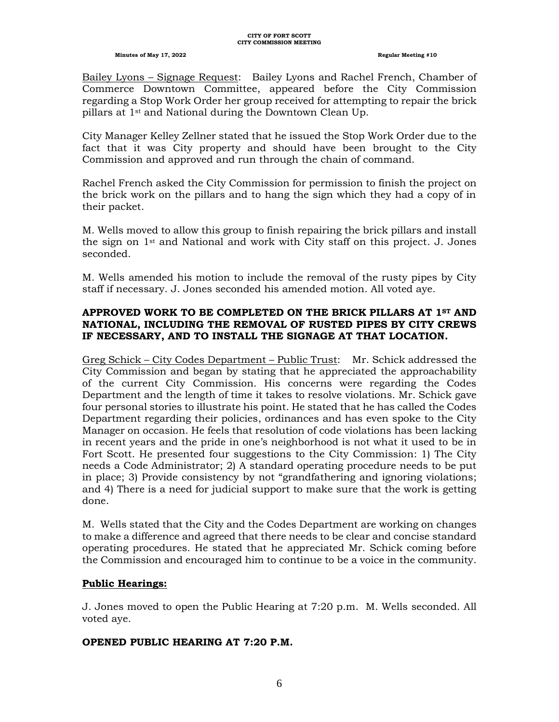Bailey Lyons – Signage Request: Bailey Lyons and Rachel French, Chamber of Commerce Downtown Committee, appeared before the City Commission regarding a Stop Work Order her group received for attempting to repair the brick pillars at 1st and National during the Downtown Clean Up.

City Manager Kelley Zellner stated that he issued the Stop Work Order due to the fact that it was City property and should have been brought to the City Commission and approved and run through the chain of command.

Rachel French asked the City Commission for permission to finish the project on the brick work on the pillars and to hang the sign which they had a copy of in their packet.

M. Wells moved to allow this group to finish repairing the brick pillars and install the sign on 1st and National and work with City staff on this project. J. Jones seconded.

M. Wells amended his motion to include the removal of the rusty pipes by City staff if necessary. J. Jones seconded his amended motion. All voted aye.

# **APPROVED WORK TO BE COMPLETED ON THE BRICK PILLARS AT 1ST AND NATIONAL, INCLUDING THE REMOVAL OF RUSTED PIPES BY CITY CREWS IF NECESSARY, AND TO INSTALL THE SIGNAGE AT THAT LOCATION.**

Greg Schick – City Codes Department – Public Trust: Mr. Schick addressed the City Commission and began by stating that he appreciated the approachability of the current City Commission. His concerns were regarding the Codes Department and the length of time it takes to resolve violations. Mr. Schick gave four personal stories to illustrate his point. He stated that he has called the Codes Department regarding their policies, ordinances and has even spoke to the City Manager on occasion. He feels that resolution of code violations has been lacking in recent years and the pride in one's neighborhood is not what it used to be in Fort Scott. He presented four suggestions to the City Commission: 1) The City needs a Code Administrator; 2) A standard operating procedure needs to be put in place; 3) Provide consistency by not "grandfathering and ignoring violations; and 4) There is a need for judicial support to make sure that the work is getting done.

M. Wells stated that the City and the Codes Department are working on changes to make a difference and agreed that there needs to be clear and concise standard operating procedures. He stated that he appreciated Mr. Schick coming before the Commission and encouraged him to continue to be a voice in the community.

## **Public Hearings:**

J. Jones moved to open the Public Hearing at 7:20 p.m. M. Wells seconded. All voted aye.

# **OPENED PUBLIC HEARING AT 7:20 P.M.**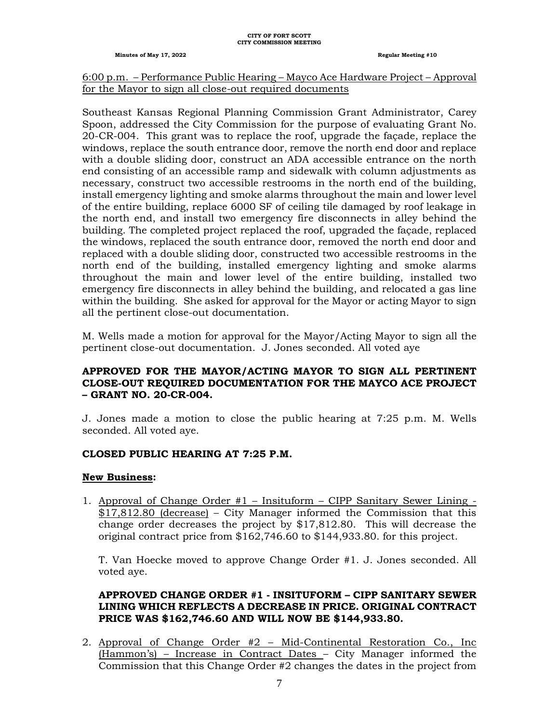#### **CITY OF FORT SCOTT CITY COMMISSION MEETING**

**Minutes of May 17, 2022 Regular Meeting #10**

# 6:00 p.m. – Performance Public Hearing – Mayco Ace Hardware Project – Approval for the Mayor to sign all close-out required documents

Southeast Kansas Regional Planning Commission Grant Administrator, Carey Spoon, addressed the City Commission for the purpose of evaluating Grant No. 20-CR-004. This grant was to replace the roof, upgrade the façade, replace the windows, replace the south entrance door, remove the north end door and replace with a double sliding door, construct an ADA accessible entrance on the north end consisting of an accessible ramp and sidewalk with column adjustments as necessary, construct two accessible restrooms in the north end of the building, install emergency lighting and smoke alarms throughout the main and lower level of the entire building, replace 6000 SF of ceiling tile damaged by roof leakage in the north end, and install two emergency fire disconnects in alley behind the building. The completed project replaced the roof, upgraded the façade, replaced the windows, replaced the south entrance door, removed the north end door and replaced with a double sliding door, constructed two accessible restrooms in the north end of the building, installed emergency lighting and smoke alarms throughout the main and lower level of the entire building, installed two emergency fire disconnects in alley behind the building, and relocated a gas line within the building. She asked for approval for the Mayor or acting Mayor to sign all the pertinent close-out documentation.

M. Wells made a motion for approval for the Mayor/Acting Mayor to sign all the pertinent close-out documentation. J. Jones seconded. All voted aye

# **APPROVED FOR THE MAYOR/ACTING MAYOR TO SIGN ALL PERTINENT CLOSE-OUT REQUIRED DOCUMENTATION FOR THE MAYCO ACE PROJECT – GRANT NO. 20-CR-004.**

J. Jones made a motion to close the public hearing at 7:25 p.m. M. Wells seconded. All voted aye.

# **CLOSED PUBLIC HEARING AT 7:25 P.M.**

## **New Business:**

1. Approval of Change Order #1 – Insituform – CIPP Sanitary Sewer Lining - \$17,812.80 (decrease) – City Manager informed the Commission that this change order decreases the project by \$17,812.80. This will decrease the original contract price from \$162,746.60 to \$144,933.80. for this project.

T. Van Hoecke moved to approve Change Order #1. J. Jones seconded. All voted aye.

# **APPROVED CHANGE ORDER #1 - INSITUFORM – CIPP SANITARY SEWER LINING WHICH REFLECTS A DECREASE IN PRICE. ORIGINAL CONTRACT PRICE WAS \$162,746.60 AND WILL NOW BE \$144,933.80.**

2. Approval of Change Order #2 – Mid-Continental Restoration Co., Inc (Hammon's) – Increase in Contract Dates – City Manager informed the Commission that this Change Order #2 changes the dates in the project from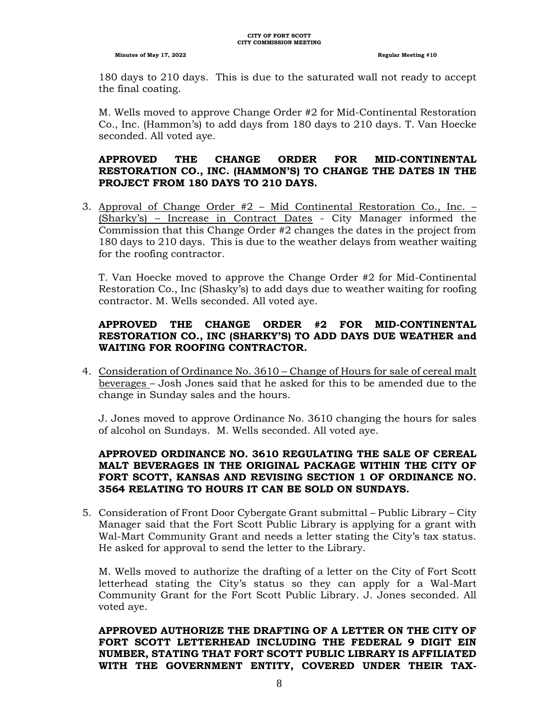180 days to 210 days. This is due to the saturated wall not ready to accept the final coating.

M. Wells moved to approve Change Order #2 for Mid-Continental Restoration Co., Inc. (Hammon's) to add days from 180 days to 210 days. T. Van Hoecke seconded. All voted aye.

# **APPROVED THE CHANGE ORDER FOR MID-CONTINENTAL RESTORATION CO., INC. (HAMMON'S) TO CHANGE THE DATES IN THE PROJECT FROM 180 DAYS TO 210 DAYS.**

3. Approval of Change Order #2 – Mid Continental Restoration Co., Inc. – (Sharky's) – Increase in Contract Dates - City Manager informed the Commission that this Change Order #2 changes the dates in the project from 180 days to 210 days. This is due to the weather delays from weather waiting for the roofing contractor.

T. Van Hoecke moved to approve the Change Order #2 for Mid-Continental Restoration Co., Inc (Shasky's) to add days due to weather waiting for roofing contractor. M. Wells seconded. All voted aye.

# **APPROVED THE CHANGE ORDER #2 FOR MID-CONTINENTAL RESTORATION CO., INC (SHARKY'S) TO ADD DAYS DUE WEATHER and WAITING FOR ROOFING CONTRACTOR.**

4. Consideration of Ordinance No. 3610 – Change of Hours for sale of cereal malt beverages – Josh Jones said that he asked for this to be amended due to the change in Sunday sales and the hours.

J. Jones moved to approve Ordinance No. 3610 changing the hours for sales of alcohol on Sundays. M. Wells seconded. All voted aye.

# **APPROVED ORDINANCE NO. 3610 REGULATING THE SALE OF CEREAL MALT BEVERAGES IN THE ORIGINAL PACKAGE WITHIN THE CITY OF FORT SCOTT, KANSAS AND REVISING SECTION 1 OF ORDINANCE NO. 3564 RELATING TO HOURS IT CAN BE SOLD ON SUNDAYS.**

5. Consideration of Front Door Cybergate Grant submittal – Public Library – City Manager said that the Fort Scott Public Library is applying for a grant with Wal-Mart Community Grant and needs a letter stating the City's tax status. He asked for approval to send the letter to the Library.

M. Wells moved to authorize the drafting of a letter on the City of Fort Scott letterhead stating the City's status so they can apply for a Wal-Mart Community Grant for the Fort Scott Public Library. J. Jones seconded. All voted aye.

**APPROVED AUTHORIZE THE DRAFTING OF A LETTER ON THE CITY OF FORT SCOTT LETTERHEAD INCLUDING THE FEDERAL 9 DIGIT EIN NUMBER, STATING THAT FORT SCOTT PUBLIC LIBRARY IS AFFILIATED WITH THE GOVERNMENT ENTITY, COVERED UNDER THEIR TAX-**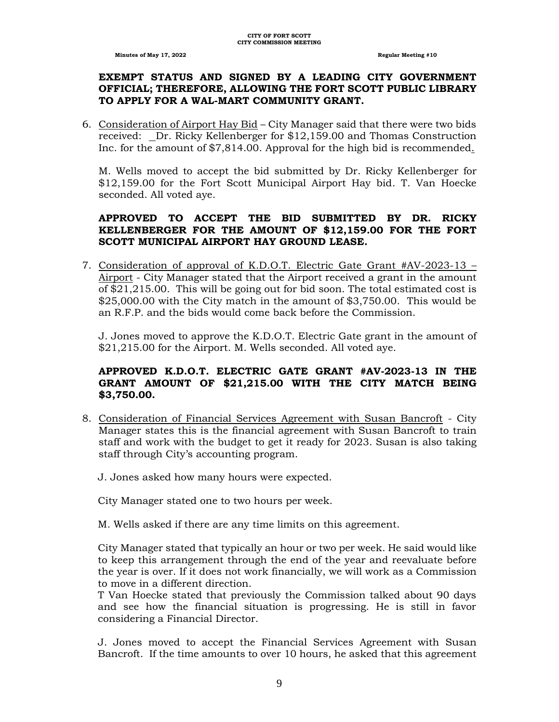## **EXEMPT STATUS AND SIGNED BY A LEADING CITY GOVERNMENT OFFICIAL; THEREFORE, ALLOWING THE FORT SCOTT PUBLIC LIBRARY TO APPLY FOR A WAL-MART COMMUNITY GRANT.**

6. Consideration of Airport Hay Bid – City Manager said that there were two bids received: Dr. Ricky Kellenberger for \$12,159.00 and Thomas Construction Inc. for the amount of \$7,814.00. Approval for the high bid is recommended.

M. Wells moved to accept the bid submitted by Dr. Ricky Kellenberger for \$12,159.00 for the Fort Scott Municipal Airport Hay bid. T. Van Hoecke seconded. All voted aye.

# **APPROVED TO ACCEPT THE BID SUBMITTED BY DR. RICKY KELLENBERGER FOR THE AMOUNT OF \$12,159.00 FOR THE FORT SCOTT MUNICIPAL AIRPORT HAY GROUND LEASE.**

7. Consideration of approval of K.D.O.T. Electric Gate Grant #AV-2023-13 – Airport - City Manager stated that the Airport received a grant in the amount of \$21,215.00. This will be going out for bid soon. The total estimated cost is \$25,000.00 with the City match in the amount of \$3,750.00. This would be an R.F.P. and the bids would come back before the Commission.

J. Jones moved to approve the K.D.O.T. Electric Gate grant in the amount of \$21,215.00 for the Airport. M. Wells seconded. All voted aye.

# **APPROVED K.D.O.T. ELECTRIC GATE GRANT #AV-2023-13 IN THE GRANT AMOUNT OF \$21,215.00 WITH THE CITY MATCH BEING \$3,750.00.**

- 8. Consideration of Financial Services Agreement with Susan Bancroft City Manager states this is the financial agreement with Susan Bancroft to train staff and work with the budget to get it ready for 2023. Susan is also taking staff through City's accounting program.
	- J. Jones asked how many hours were expected.

City Manager stated one to two hours per week.

M. Wells asked if there are any time limits on this agreement.

City Manager stated that typically an hour or two per week. He said would like to keep this arrangement through the end of the year and reevaluate before the year is over. If it does not work financially, we will work as a Commission to move in a different direction.

T Van Hoecke stated that previously the Commission talked about 90 days and see how the financial situation is progressing. He is still in favor considering a Financial Director.

J. Jones moved to accept the Financial Services Agreement with Susan Bancroft. If the time amounts to over 10 hours, he asked that this agreement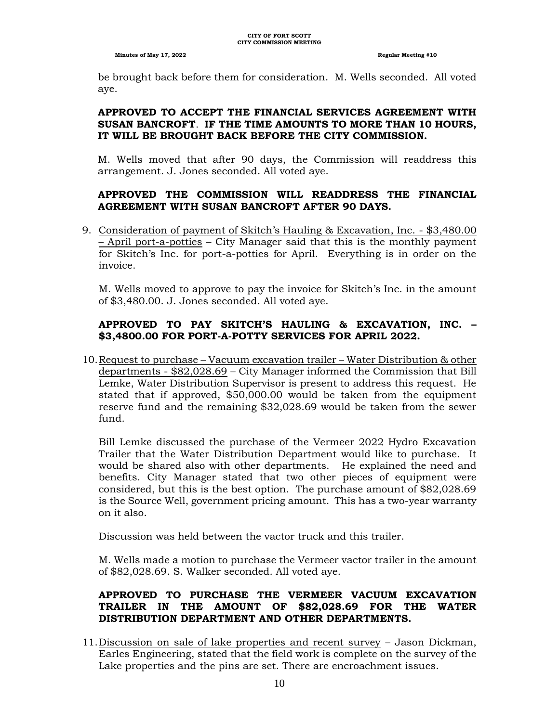be brought back before them for consideration. M. Wells seconded. All voted aye.

# **APPROVED TO ACCEPT THE FINANCIAL SERVICES AGREEMENT WITH SUSAN BANCROFT**. **IF THE TIME AMOUNTS TO MORE THAN 10 HOURS, IT WILL BE BROUGHT BACK BEFORE THE CITY COMMISSION.**

M. Wells moved that after 90 days, the Commission will readdress this arrangement. J. Jones seconded. All voted aye.

# **APPROVED THE COMMISSION WILL READDRESS THE FINANCIAL AGREEMENT WITH SUSAN BANCROFT AFTER 90 DAYS.**

9. Consideration of payment of Skitch's Hauling & Excavation, Inc. - \$3,480.00 – April port-a-potties – City Manager said that this is the monthly payment for Skitch's Inc. for port-a-potties for April. Everything is in order on the invoice.

M. Wells moved to approve to pay the invoice for Skitch's Inc. in the amount of \$3,480.00. J. Jones seconded. All voted aye.

# **APPROVED TO PAY SKITCH'S HAULING & EXCAVATION, INC. – \$3,4800.00 FOR PORT-A-POTTY SERVICES FOR APRIL 2022.**

10.Request to purchase – Vacuum excavation trailer – Water Distribution & other departments - \$82,028.69 – City Manager informed the Commission that Bill Lemke, Water Distribution Supervisor is present to address this request. He stated that if approved, \$50,000.00 would be taken from the equipment reserve fund and the remaining \$32,028.69 would be taken from the sewer fund.

Bill Lemke discussed the purchase of the Vermeer 2022 Hydro Excavation Trailer that the Water Distribution Department would like to purchase. It would be shared also with other departments. He explained the need and benefits. City Manager stated that two other pieces of equipment were considered, but this is the best option. The purchase amount of \$82,028.69 is the Source Well, government pricing amount. This has a two-year warranty on it also.

Discussion was held between the vactor truck and this trailer.

M. Wells made a motion to purchase the Vermeer vactor trailer in the amount of \$82,028.69. S. Walker seconded. All voted aye.

# **APPROVED TO PURCHASE THE VERMEER VACUUM EXCAVATION TRAILER IN THE AMOUNT OF \$82,028.69 FOR THE WATER DISTRIBUTION DEPARTMENT AND OTHER DEPARTMENTS.**

11.Discussion on sale of lake properties and recent survey – Jason Dickman, Earles Engineering, stated that the field work is complete on the survey of the Lake properties and the pins are set. There are encroachment issues.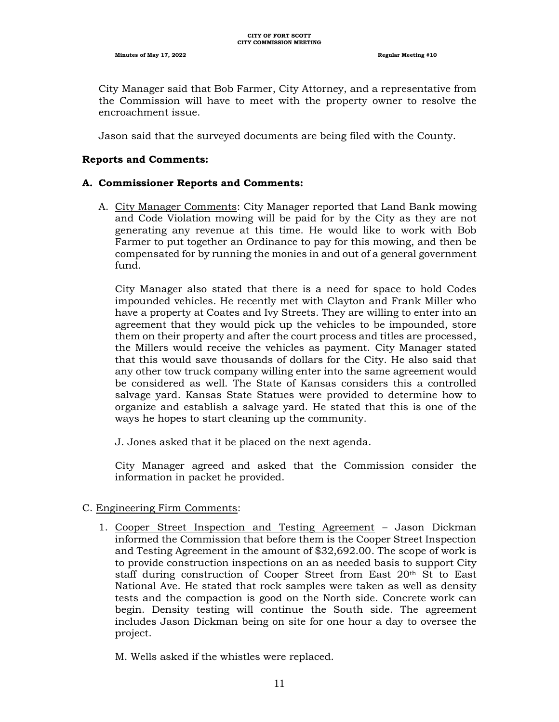City Manager said that Bob Farmer, City Attorney, and a representative from the Commission will have to meet with the property owner to resolve the encroachment issue.

Jason said that the surveyed documents are being filed with the County.

#### **Reports and Comments:**

### **A. Commissioner Reports and Comments:**

A. City Manager Comments: City Manager reported that Land Bank mowing and Code Violation mowing will be paid for by the City as they are not generating any revenue at this time. He would like to work with Bob Farmer to put together an Ordinance to pay for this mowing, and then be compensated for by running the monies in and out of a general government fund.

City Manager also stated that there is a need for space to hold Codes impounded vehicles. He recently met with Clayton and Frank Miller who have a property at Coates and Ivy Streets. They are willing to enter into an agreement that they would pick up the vehicles to be impounded, store them on their property and after the court process and titles are processed, the Millers would receive the vehicles as payment. City Manager stated that this would save thousands of dollars for the City. He also said that any other tow truck company willing enter into the same agreement would be considered as well. The State of Kansas considers this a controlled salvage yard. Kansas State Statues were provided to determine how to organize and establish a salvage yard. He stated that this is one of the ways he hopes to start cleaning up the community.

J. Jones asked that it be placed on the next agenda.

City Manager agreed and asked that the Commission consider the information in packet he provided.

#### C. Engineering Firm Comments:

1. Cooper Street Inspection and Testing Agreement – Jason Dickman informed the Commission that before them is the Cooper Street Inspection and Testing Agreement in the amount of \$32,692.00. The scope of work is to provide construction inspections on an as needed basis to support City staff during construction of Cooper Street from East 20th St to East National Ave. He stated that rock samples were taken as well as density tests and the compaction is good on the North side. Concrete work can begin. Density testing will continue the South side. The agreement includes Jason Dickman being on site for one hour a day to oversee the project.

M. Wells asked if the whistles were replaced.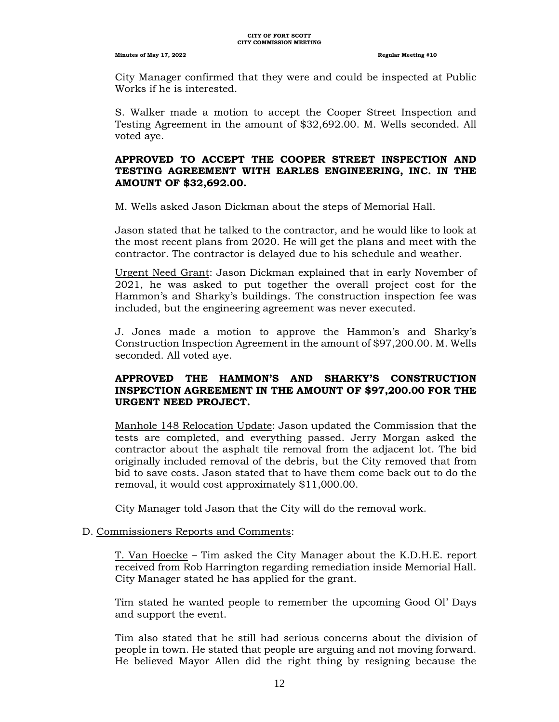City Manager confirmed that they were and could be inspected at Public Works if he is interested.

S. Walker made a motion to accept the Cooper Street Inspection and Testing Agreement in the amount of \$32,692.00. M. Wells seconded. All voted aye.

# **APPROVED TO ACCEPT THE COOPER STREET INSPECTION AND TESTING AGREEMENT WITH EARLES ENGINEERING, INC. IN THE AMOUNT OF \$32,692.00.**

M. Wells asked Jason Dickman about the steps of Memorial Hall.

Jason stated that he talked to the contractor, and he would like to look at the most recent plans from 2020. He will get the plans and meet with the contractor. The contractor is delayed due to his schedule and weather.

Urgent Need Grant: Jason Dickman explained that in early November of 2021, he was asked to put together the overall project cost for the Hammon's and Sharky's buildings. The construction inspection fee was included, but the engineering agreement was never executed.

J. Jones made a motion to approve the Hammon's and Sharky's Construction Inspection Agreement in the amount of \$97,200.00. M. Wells seconded. All voted aye.

# **APPROVED THE HAMMON'S AND SHARKY'S CONSTRUCTION INSPECTION AGREEMENT IN THE AMOUNT OF \$97,200.00 FOR THE URGENT NEED PROJECT.**

Manhole 148 Relocation Update: Jason updated the Commission that the tests are completed, and everything passed. Jerry Morgan asked the contractor about the asphalt tile removal from the adjacent lot. The bid originally included removal of the debris, but the City removed that from bid to save costs. Jason stated that to have them come back out to do the removal, it would cost approximately \$11,000.00.

City Manager told Jason that the City will do the removal work.

# D. Commissioners Reports and Comments:

T. Van Hoecke – Tim asked the City Manager about the K.D.H.E. report received from Rob Harrington regarding remediation inside Memorial Hall. City Manager stated he has applied for the grant.

Tim stated he wanted people to remember the upcoming Good Ol' Days and support the event.

Tim also stated that he still had serious concerns about the division of people in town. He stated that people are arguing and not moving forward. He believed Mayor Allen did the right thing by resigning because the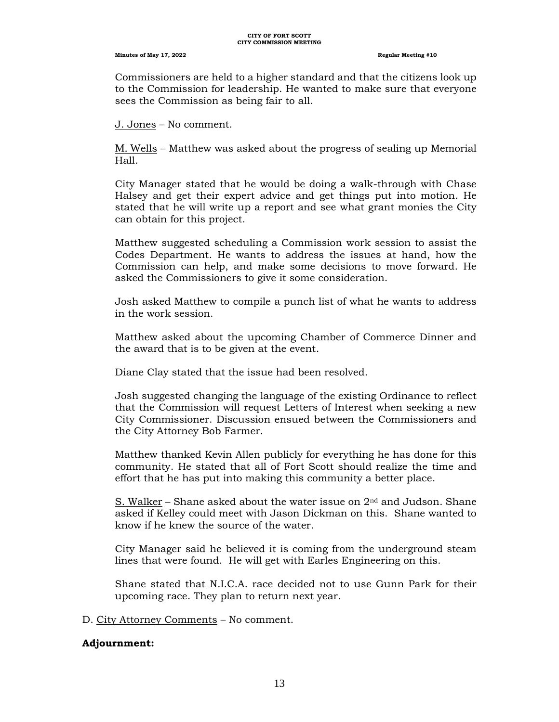Commissioners are held to a higher standard and that the citizens look up to the Commission for leadership. He wanted to make sure that everyone sees the Commission as being fair to all.

J. Jones – No comment.

M. Wells – Matthew was asked about the progress of sealing up Memorial Hall.

City Manager stated that he would be doing a walk-through with Chase Halsey and get their expert advice and get things put into motion. He stated that he will write up a report and see what grant monies the City can obtain for this project.

Matthew suggested scheduling a Commission work session to assist the Codes Department. He wants to address the issues at hand, how the Commission can help, and make some decisions to move forward. He asked the Commissioners to give it some consideration.

Josh asked Matthew to compile a punch list of what he wants to address in the work session.

Matthew asked about the upcoming Chamber of Commerce Dinner and the award that is to be given at the event.

Diane Clay stated that the issue had been resolved.

Josh suggested changing the language of the existing Ordinance to reflect that the Commission will request Letters of Interest when seeking a new City Commissioner. Discussion ensued between the Commissioners and the City Attorney Bob Farmer.

Matthew thanked Kevin Allen publicly for everything he has done for this community. He stated that all of Fort Scott should realize the time and effort that he has put into making this community a better place.

S. Walker – Shane asked about the water issue on  $2<sup>nd</sup>$  and Judson. Shane asked if Kelley could meet with Jason Dickman on this. Shane wanted to know if he knew the source of the water.

City Manager said he believed it is coming from the underground steam lines that were found. He will get with Earles Engineering on this.

Shane stated that N.I.C.A. race decided not to use Gunn Park for their upcoming race. They plan to return next year.

D. City Attorney Comments – No comment.

## **Adjournment:**